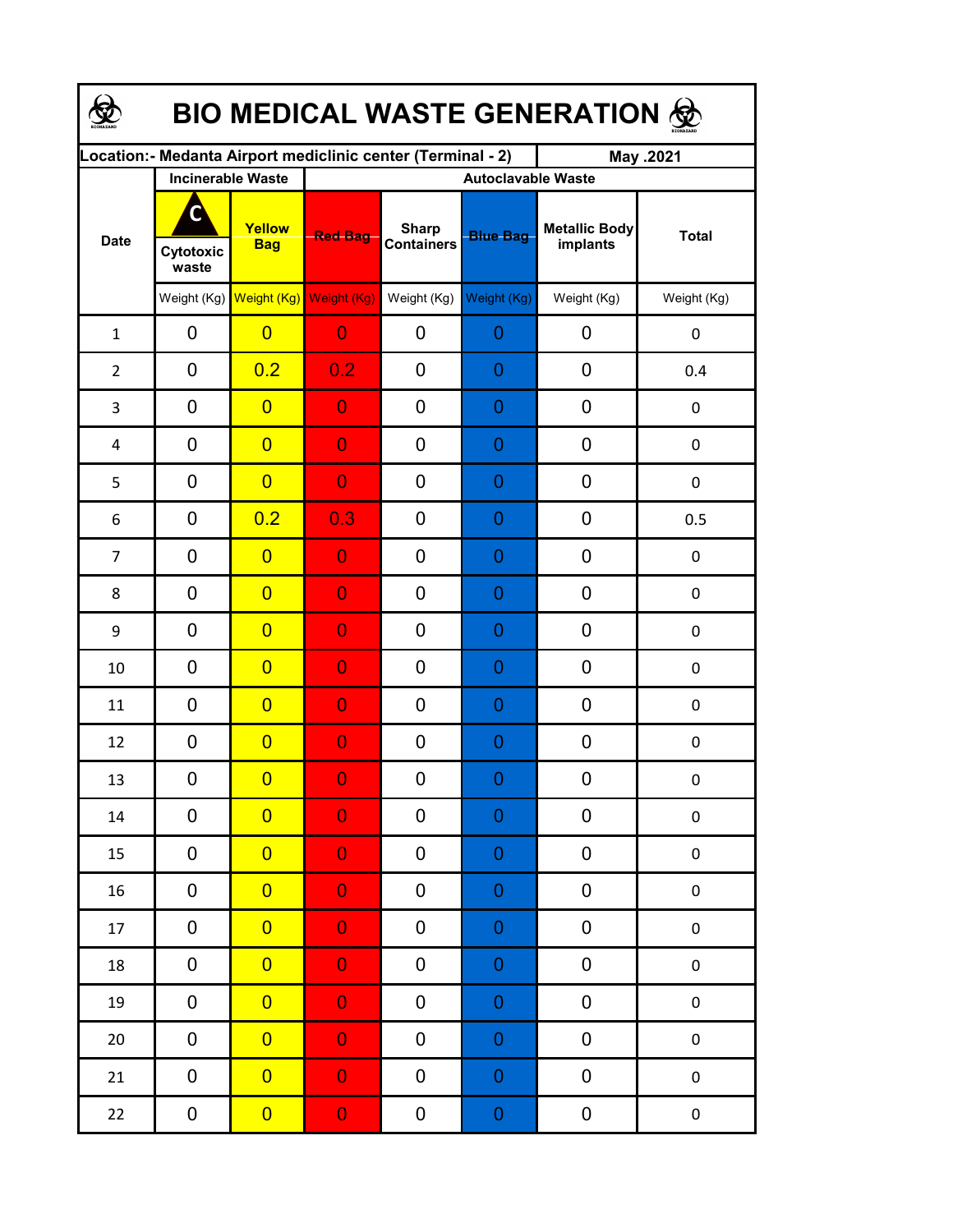| <b>BIO MEDICAL WASTE GENERATION ®</b> |                          |                                     |                                                             |                                   |                  |                                  |                  |  |  |  |
|---------------------------------------|--------------------------|-------------------------------------|-------------------------------------------------------------|-----------------------------------|------------------|----------------------------------|------------------|--|--|--|
|                                       |                          |                                     | Location:- Medanta Airport mediclinic center (Terminal - 2) |                                   |                  | May .2021                        |                  |  |  |  |
|                                       | <b>Incinerable Waste</b> |                                     | <b>Autoclavable Waste</b>                                   |                                   |                  |                                  |                  |  |  |  |
| <b>Date</b>                           | C<br>Cytotoxic<br>waste  | Yellow<br><b>Bag</b>                | <b>Red Bag</b>                                              | <b>Sharp</b><br><b>Containers</b> | <b>Blue Bag</b>  | <b>Metallic Body</b><br>implants | <b>Total</b>     |  |  |  |
|                                       |                          | Weight (Kg) Weight (Kg) Weight (Kg) |                                                             | Weight (Kg)                       | Weight (Kg)      | Weight (Kg)                      | Weight (Kg)      |  |  |  |
| $\mathbf{1}$                          | 0                        | $\overline{0}$                      | $\overline{0}$                                              | 0                                 | $\overline{0}$   | 0                                | $\boldsymbol{0}$ |  |  |  |
| $\overline{2}$                        | $\mathbf 0$              | 0.2                                 | 0.2                                                         | 0                                 | $\overline{0}$   | $\mathbf 0$                      | 0.4              |  |  |  |
| 3                                     | $\mathbf 0$              | $\overline{0}$                      | $\overline{0}$                                              | 0                                 | $\overline{0}$   | $\mathbf 0$                      | $\boldsymbol{0}$ |  |  |  |
| 4                                     | $\mathbf 0$              | $\overline{0}$                      | $\overline{0}$                                              | 0                                 | $\overline{0}$   | 0                                | $\boldsymbol{0}$ |  |  |  |
| 5                                     | $\mathbf 0$              | $\overline{0}$                      | $\overline{0}$                                              | 0                                 | $\overline{0}$   | 0                                | $\pmb{0}$        |  |  |  |
| 6                                     | $\mathbf 0$              | 0.2                                 | 0.3                                                         | 0                                 | $\overline{0}$   | $\mathbf 0$                      | 0.5              |  |  |  |
| $\overline{7}$                        | $\mathbf 0$              | $\overline{0}$                      | $\overline{0}$                                              | 0                                 | $\overline{0}$   | $\mathbf 0$                      | $\boldsymbol{0}$ |  |  |  |
| 8                                     | $\mathbf 0$              | $\overline{0}$                      | $\overline{0}$                                              | 0                                 | $\overline{0}$   | $\mathbf 0$                      | $\boldsymbol{0}$ |  |  |  |
| 9                                     | $\mathbf 0$              | $\overline{0}$                      | $\overline{0}$                                              | 0                                 | $\overline{0}$   | 0                                | $\boldsymbol{0}$ |  |  |  |
| 10                                    | $\mathbf 0$              | $\overline{0}$                      | $\overline{0}$                                              | 0                                 | $\overline{0}$   | 0                                | 0                |  |  |  |
| 11                                    | 0                        | $\overline{0}$                      | $\overline{0}$                                              | 0                                 | $\overline{0}$   | $\mathbf 0$                      | $\boldsymbol{0}$ |  |  |  |
| 12                                    | 0                        | $\overline{0}$                      | $\overline{0}$                                              | 0                                 | $\overline{0}$   | $\mathbf 0$                      | $\boldsymbol{0}$ |  |  |  |
| 13                                    | 0                        | $\overline{\mathbf{0}}$             | $\mathbf{0}$                                                | 0                                 | $\Omega$         | 0                                | $\boldsymbol{0}$ |  |  |  |
| $14\,$                                | 0                        | $\overline{0}$                      | $\overline{0}$                                              | 0                                 | $\boldsymbol{0}$ | 0                                | $\pmb{0}$        |  |  |  |
| 15                                    | 0                        | $\overline{0}$                      | $\overline{0}$                                              | 0                                 | $\boldsymbol{0}$ | $\pmb{0}$                        | $\pmb{0}$        |  |  |  |
| 16                                    | 0                        | $\overline{0}$                      | $\overline{0}$                                              | 0                                 | $\boldsymbol{0}$ | 0                                | $\pmb{0}$        |  |  |  |
| 17                                    | 0                        | $\overline{0}$                      | $\overline{0}$                                              | 0                                 | $\boldsymbol{0}$ | $\pmb{0}$                        | $\pmb{0}$        |  |  |  |
| 18                                    | 0                        | $\overline{0}$                      | $\mathbf 0$                                                 | 0                                 | $\boldsymbol{0}$ | 0                                | $\pmb{0}$        |  |  |  |
| 19                                    | 0                        | $\overline{0}$                      | $\mathbf 0$                                                 | 0                                 | $\boldsymbol{0}$ | 0                                | $\pmb{0}$        |  |  |  |
| 20                                    | 0                        | $\overline{0}$                      | $\overline{0}$                                              | 0                                 | $\boldsymbol{0}$ | 0                                | $\pmb{0}$        |  |  |  |
| 21                                    | 0                        | $\overline{0}$                      | $\mathbf 0$                                                 | $\pmb{0}$                         | $\boldsymbol{0}$ | $\pmb{0}$                        | $\pmb{0}$        |  |  |  |
| 22                                    | 0                        | $\overline{0}$                      | $\mathbf{0}$                                                | $\pmb{0}$                         | $\boldsymbol{0}$ | $\pmb{0}$                        | $\pmb{0}$        |  |  |  |